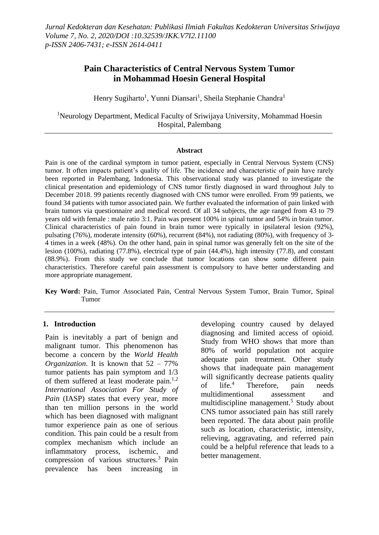# **Pain Characteristics of Central Nervous System Tumor in Mohammad Hoesin General Hospital**

Henry Sugiharto<sup>1</sup>, Yunni Diansari<sup>1</sup>, Sheila Stephanie Chandra<sup>1</sup>

<sup>1</sup>Neurology Department, Medical Faculty of Sriwijaya University, Mohammad Hoesin Hospital, Palembang

#### **Abstract**

Pain is one of the cardinal symptom in tumor patient, especially in Central Nervous System (CNS) tumor. It often impacts patient's quality of life. The incidence and characteristic of pain have rarely been reported in Palembang, Indonesia. This observational study was planned to investigate the clinical presentation and epidemiology of CNS tumor firstly diagnosed in ward throughout July to December 2018. 99 patients recently diagnosed with CNS tumor were enrolled. From 99 patients, we found 34 patients with tumor associated pain. We further evaluated the information of pain linked with brain tumors via questionnaire and medical record. Of all 34 subjects, the age ranged from 43 to 79 years old with female : male ratio 3:1. Pain was present 100% in spinal tumor and 54% in brain tumor. Clinical characteristics of pain found in brain tumor were typically in ipsilateral lesion (92%), pulsating (76%), moderate intensity (60%), recurrent (84%), not radiating (80%), with frequency of 3- 4 times in a week (48%). On the other hand, pain in spinal tumor was generally felt on the site of the lesion (100%), radiating (77.8%), electrical type of pain (44.4%), high intensity (77.8), and constant (88.9%). From this study we conclude that tumor locations can show some different pain characteristics. Therefore careful pain assessment is compulsory to have better understanding and more appropriate management.

**Key Word:** Pain, Tumor Associated Pain, Central Nervous System Tumor, Brain Tumor, Spinal Tumor

### **1. Introduction**

Pain is inevitably a part of benign and malignant tumor. This phenomenon has become a concern by the *World Health Organization*. It is known that 52 – 77% tumor patients has pain symptom and 1/3 of them suffered at least moderate pain.<sup>1,2</sup> *International Association For Study of Pain* (IASP) states that every year, more than ten million persons in the world which has been diagnosed with malignant tumor experience pain as one of serious condition. This pain could be a result from complex mechanism which include an inflammatory process, ischemic, and compression of various structures.<sup>3</sup> Pain prevalence has been increasing in

developing country caused by delayed diagnosing and limited access of opioid. Study from WHO shows that more than 80% of world population not acquire adequate pain treatment. Other study shows that inadequate pain management will significantly decrease patients quality of life.<sup>4</sup> Therefore, pain needs multidimentional assessment and multidiscipline management.<sup>5</sup> Study about CNS tumor associated pain has still rarely been reported. The data about pain profile such as location, characteristic, intensity, relieving, aggravating, and referred pain could be a helpful reference that leads to a better management.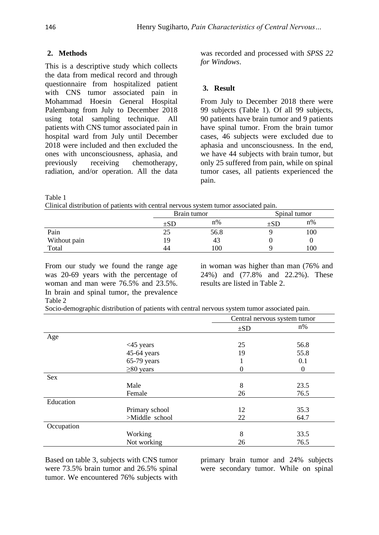## **2. Methods**

This is a descriptive study which collects the data from medical record and through questionnaire from hospitalized patient with CNS tumor associated pain in Mohammad Hoesin General Hospital Palembang from July to December 2018 using total sampling technique. All patients with CNS tumor associated pain in hospital ward from July until December 2018 were included and then excluded the ones with unconsciousness, aphasia, and previously receiving chemotherapy, radiation, and/or operation. All the data

was recorded and processed with *SPSS 22 for Windows*.

### **3. Result**

From July to December 2018 there were 99 subjects (Table 1). Of all 99 subjects, 90 patients have brain tumor and 9 patients have spinal tumor. From the brain tumor cases, 46 subjects were excluded due to aphasia and unconsciousness. In the end, we have 44 subjects with brain tumor, but only 25 suffered from pain, while on spinal tumor cases, all patients experienced the pain.

Table 1

Clinical distribution of patients with central nervous system tumor associated pain.

|              | Brain tumor |      | Spinal tumor |       |
|--------------|-------------|------|--------------|-------|
|              | $\pm SD$    | n%   | ±SE          | $n\%$ |
| Pain         | 25          | 56.8 |              | 100   |
| Without pain | 19          | 43   |              |       |
| Total        | 44          | 100  |              | 100   |

From our study we found the range age was 20-69 years with the percentage of woman and man were 76.5% and 23.5%. In brain and spinal tumor, the prevalence Table 2

in woman was higher than man (76% and 24%) and (77.8% and 22.2%). These results are listed in Table 2.

| Socio-demographic distribution of patients with central nervous system tumor associated pain. |  |  |
|-----------------------------------------------------------------------------------------------|--|--|
|                                                                                               |  |  |

|            |                 | Central nervous system tumor |                  |
|------------|-----------------|------------------------------|------------------|
|            |                 | $\pm SD$                     | $n\%$            |
| Age        |                 |                              |                  |
|            | $<$ 45 years    | 25                           | 56.8             |
|            | 45-64 years     | 19                           | 55.8             |
|            | 65-79 years     |                              | 0.1              |
|            | $\geq 80$ years | $\theta$                     | $\boldsymbol{0}$ |
| Sex        |                 |                              |                  |
|            | Male            | 8                            | 23.5             |
|            | Female          | 26                           | 76.5             |
| Education  |                 |                              |                  |
|            | Primary school  | 12                           | 35.3             |
|            | >Middle school  | 22                           | 64.7             |
| Occupation |                 |                              |                  |
|            | Working         | 8                            | 33.5             |
|            | Not working     | 26                           | 76.5             |

Based on table 3, subjects with CNS tumor were 73.5% brain tumor and 26.5% spinal tumor. We encountered 76% subjects with primary brain tumor and 24% subjects were secondary tumor. While on spinal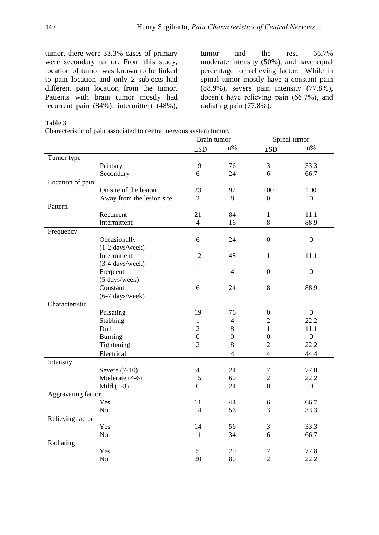tumor, there were 33.3% cases of primary tumor and the rest 66.7% were secondary tumor. From this study, location of tumor was known to be linked to pain location and only 2 subjects had different pain location from the tumor. Patients with brain tumor mostly had recurrent pain (84%), intermittent (48%),

moderate intensity (50%), and have equal percentage for relieving factor. While in spinal tumor mostly have a constant pain (88.9%), severe pain intensity (77.8%), doesn't have relieving pain (66.7%), and radiating pain (77.8%).

Table 3

Characteristic of pain associated to central nervous system tumor.

|                    |                           |                  | Brain tumor      |                  | Spinal tumor     |
|--------------------|---------------------------|------------------|------------------|------------------|------------------|
|                    |                           | $\pm SD$         | $n\%$            | $\pm SD$         | $n\%$            |
| Tumor type         |                           |                  |                  |                  |                  |
|                    | Primary                   | 19               | 76               | 3                | 33.3             |
|                    | Secondary                 | 6                | 24               | 6                | 66.7             |
| Location of pain   |                           |                  |                  |                  |                  |
|                    | On site of the lesion     | 23               | 92               | 100              | 100              |
|                    | Away from the lesion site | $\overline{2}$   | $8\,$            | $\overline{0}$   | $\overline{0}$   |
| Pattern            |                           |                  |                  |                  |                  |
|                    | Recurrent                 | 21               | 84               | $\mathbf{1}$     | 11.1             |
|                    | Intermittent              | $\overline{4}$   | 16               | 8                | 88.9             |
| Frequency          |                           |                  |                  |                  |                  |
|                    | Occasionally              | 6                | 24               | $\overline{0}$   | $\boldsymbol{0}$ |
|                    | $(1-2 \text{ days/week})$ |                  |                  |                  |                  |
|                    | Intermittent              | 12               | 48               | $\mathbf{1}$     | 11.1             |
|                    | (3-4 days/week)           |                  |                  |                  |                  |
|                    | Frequent                  | $\mathbf{1}$     | $\overline{4}$   | $\overline{0}$   | $\boldsymbol{0}$ |
|                    | (5 days/week)             |                  |                  |                  |                  |
|                    | Constant                  | 6                | 24               | 8                | 88.9             |
|                    | $(6-7 \text{ days/week})$ |                  |                  |                  |                  |
| Characteristic     |                           |                  |                  |                  |                  |
|                    | Pulsating                 | 19               | 76               | $\boldsymbol{0}$ | $\boldsymbol{0}$ |
|                    | Stabbing                  | $\mathbf{1}$     | $\overline{4}$   | $\overline{2}$   | 22.2             |
|                    | Dull                      | $\overline{2}$   | $8\,$            | $\mathbf{1}$     | 11.1             |
|                    | <b>Burning</b>            | $\boldsymbol{0}$ | $\boldsymbol{0}$ | $\boldsymbol{0}$ | $\overline{0}$   |
|                    | Tightening                | $\overline{2}$   | $\, 8$           | $\overline{2}$   | 22.2             |
|                    | Electrical                | $\mathbf{1}$     | $\overline{4}$   | $\overline{4}$   | 44.4             |
| Intensity          |                           |                  |                  |                  |                  |
|                    | Severe (7-10)             | $\overline{4}$   | 24               | $\tau$           | 77.8             |
|                    | Moderate (4-6)            | 15               | 60               | $\overline{2}$   | 22.2             |
|                    | Mild $(1-3)$              | 6                | 24               | $\overline{0}$   | $\boldsymbol{0}$ |
| Aggravating factor |                           |                  |                  |                  |                  |
|                    | Yes                       | 11               | 44               | 6                | 66.7             |
|                    | N <sub>o</sub>            | 14               | 56               | 3                | 33.3             |
| Relieving factor   |                           |                  |                  |                  |                  |
|                    | Yes                       | 14               | 56               | 3                | 33.3             |
|                    | N <sub>o</sub>            | 11               | 34               | 6                | 66.7             |
| Radiating          |                           |                  |                  |                  |                  |
|                    | Yes                       | 5                | 20               | $\boldsymbol{7}$ | 77.8             |
|                    | No                        | 20               | 80               | $\overline{2}$   | 22.2             |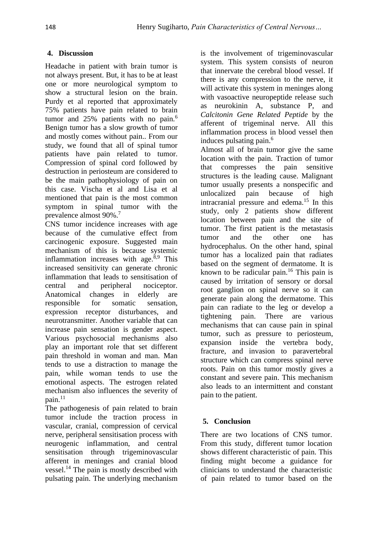## **4. Discussion**

Headache in patient with brain tumor is not always present. But, it has to be at least one or more neurological symptom to show a structural lesion on the brain. Purdy et al reported that approximately 75% patients have pain related to brain tumor and 25% patients with no pain.<sup>6</sup> Benign tumor has a slow growth of tumor and mostly comes without pain.. From our study, we found that all of spinal tumor patients have pain related to tumor. Compression of spinal cord followed by destruction in periosteum are considered to be the main pathophysiology of pain on this case. Vischa et al and Lisa et al mentioned that pain is the most common symptom in spinal tumor with the prevalence almost 90%.<sup>7</sup>

CNS tumor incidence increases with age because of the cumulative effect from carcinogenic exposure. Suggested main mechanism of this is because systemic inflammation increases with age.<sup>8,9</sup> This increased sensitivity can generate chronic inflammation that leads to sensitisation of central and peripheral nociceptor. Anatomical changes in elderly are responsible for somatic sensation, expression receptor disturbances, and neurotransmitter. Another variable that can increase pain sensation is gender aspect. Various psychosocial mechanisms also play an important role that set different pain threshold in woman and man. Man tends to use a distraction to manage the pain, while woman tends to use the emotional aspects. The estrogen related mechanism also influences the severity of pain.<sup>11</sup>

The pathogenesis of pain related to brain tumor include the traction process in vascular, cranial, compression of cervical nerve, peripheral sensitisation process with neurogenic inflammation, and central sensitisation through trigeminovascular afferent in meninges and cranial blood vessel.<sup>14</sup> The pain is mostly described with pulsating pain. The underlying mechanism is the involvement of trigeminovascular system. This system consists of neuron that innervate the cerebral blood vessel. If there is any compression to the nerve, it will activate this system in meninges along with vasoactive neuropeptide release such as neurokinin A, substance P, and *Calcitonin Gene Related Peptide* by the afferent of trigeminal nerve. All this inflammation process in blood vessel then induces pulsating pain.<sup>6</sup>

Almost all of brain tumor give the same location with the pain. Traction of tumor that compresses the pain sensitive structures is the leading cause. Malignant tumor usually presents a nonspecific and unlocalized pain because of high intracranial pressure and edema.<sup>15</sup> In this study, only 2 patients show different location between pain and the site of tumor. The first patient is the metastasis tumor and the other one has hydrocephalus. On the other hand, spinal tumor has a localized pain that radiates based on the segment of dermatome. It is known to be radicular pain.<sup>16</sup> This pain is caused by irritation of sensory or dorsal root ganglion on spinal nerve so it can generate pain along the dermatome. This pain can radiate to the leg or develop a tightening pain. There are various mechanisms that can cause pain in spinal tumor, such as pressure to periosteum, expansion inside the vertebra body, fracture, and invasion to paravertebral structure which can compress spinal nerve roots. Pain on this tumor mostly gives a constant and severe pain. This mechanism also leads to an intermittent and constant pain to the patient.

# **5. Conclusion**

There are two locations of CNS tumor. From this study, different tumor location shows different characteristic of pain. This finding might become a guidance for clinicians to understand the characteristic of pain related to tumor based on the